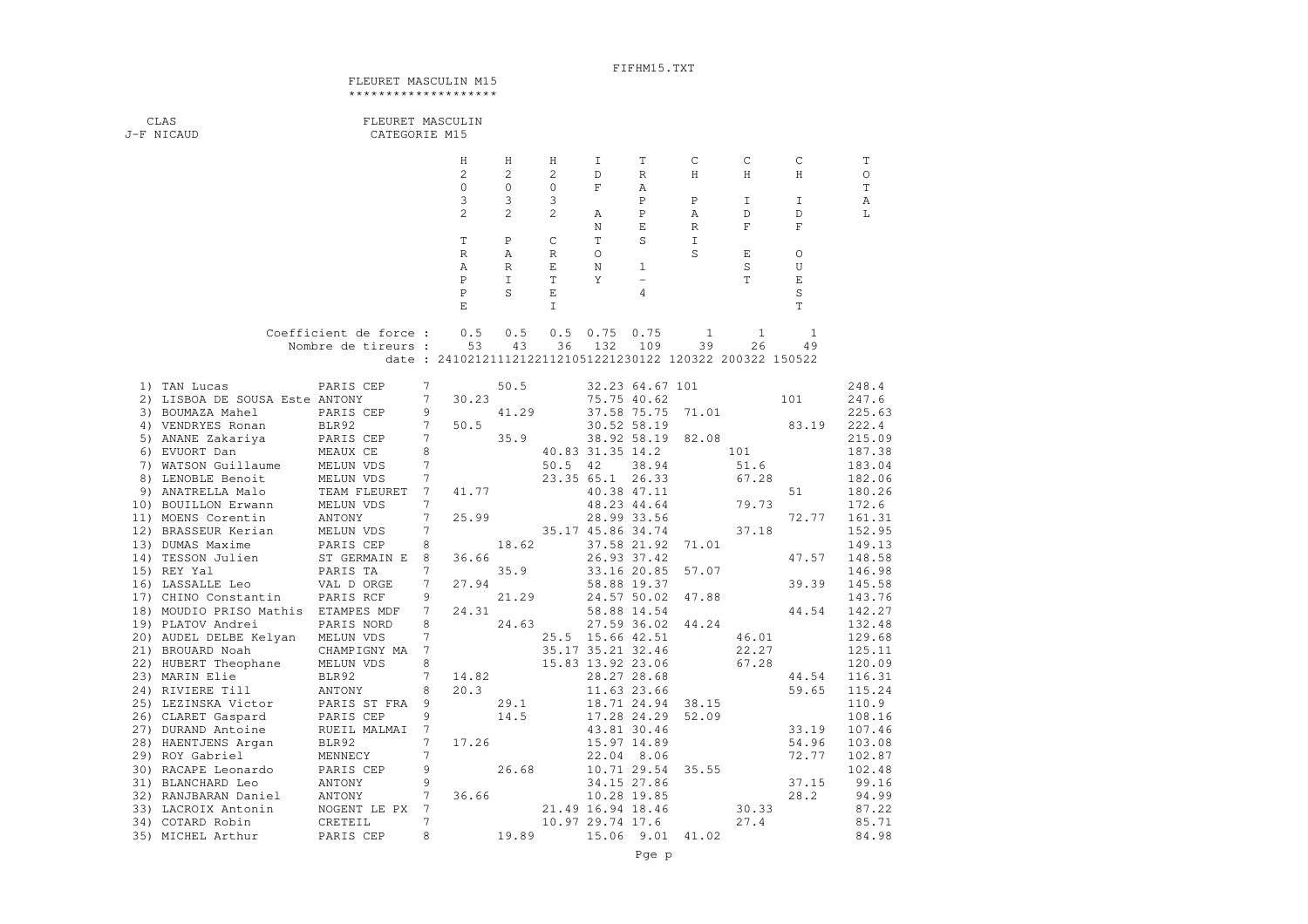## FIFHM15.TXT

## FLEURET MASCULIN M15\*\*\*\*\*\*\*\*\*\*\*\*\*\*\*\*\*\*\*

| CLAS<br>J-F NICAUD                                          | FLEURET MASCULIN<br>CATEGORIE M15 |                     |                                                           |                |                   |                   |                            |                  |              |                |                  |
|-------------------------------------------------------------|-----------------------------------|---------------------|-----------------------------------------------------------|----------------|-------------------|-------------------|----------------------------|------------------|--------------|----------------|------------------|
|                                                             |                                   |                     | Н                                                         | Η              | Η                 | I                 | Т                          | C                | С            | С              | T                |
|                                                             |                                   |                     | $\mathbf{2}$                                              | $\overline{c}$ | 2                 | $\mathbb D$       | R                          | Η                | Η            | H              | $\circ$          |
|                                                             |                                   |                     | $\circ$                                                   | $\circ$        | 0                 | F                 | Α                          |                  |              |                | $\mathbb T$      |
|                                                             |                                   |                     | 3                                                         | 3              | 3                 |                   | $\mathbf P$                | $\mathbf P$      | I            | I.             | A                |
|                                                             |                                   |                     | $\overline{c}$                                            | $\mathfrak{D}$ | $\overline{c}$    | Α                 | $\mathbf P$                | Α                | D            | D              | L                |
|                                                             |                                   |                     |                                                           |                |                   | $\mathbb N$       | E                          | $\, {\mathbb R}$ | $\mathbf F$  | $\mathbf F$    |                  |
|                                                             |                                   |                     | T<br>$\mathbb R$                                          | P<br>Α         | C<br>$\mathbb{R}$ | T<br>$\circ$      | S                          | I<br>S           | Ε            | O              |                  |
|                                                             |                                   |                     | Α                                                         | R              | E                 | N                 | 1                          |                  | S            | U              |                  |
|                                                             |                                   |                     | $\mathbf P$                                               | $\mathbf I$    | $\mathbf T$       | Y                 | $\qquad \qquad -$          |                  | T            | $\mathbf E$    |                  |
|                                                             |                                   |                     | $\, {\bf P}$                                              | S              | E                 |                   | 4                          |                  |              | $\rm S$        |                  |
|                                                             |                                   |                     | E                                                         |                | I                 |                   |                            |                  |              | T              |                  |
|                                                             | Coefficient de force :            |                     | 0.5                                                       | 0.5            | 0.5               | 0.75              | 0.75                       | 1                | $\mathbf{1}$ | $\mathbf{1}$   |                  |
|                                                             | Nombre de tireurs :               |                     | 53                                                        | 43             | 36                | 132               | 109                        | 39               | 26           | 49             |                  |
|                                                             |                                   |                     | date: 241021211121221121051221230122 120322 200322 150522 |                |                   |                   |                            |                  |              |                |                  |
| 1) TAN Lucas                                                | PARIS CEP                         | 7                   |                                                           | 50.5           |                   |                   | 32.23 64.67 101            |                  |              |                | 248.4            |
| 2) LISBOA DE SOUSA Este ANTONY                              |                                   | 7                   | 30.23                                                     |                |                   | 75.75 40.62       |                            |                  |              | 101            | 247.6            |
| 3) BOUMAZA Mahel                                            | PARIS CEP                         | 9                   |                                                           | 41.29          |                   |                   | 37.58 75.75                | 71.01            |              |                | 225.63           |
| 4) VENDRYES Ronan                                           | BLR92                             | 7                   | 50.5                                                      |                |                   |                   | 30.52 58.19                |                  |              | 83.19          | 222.4            |
| 5) ANANE Zakariya<br>6) EVUORT Dan                          | PARIS CEP<br>MEAUX CE             | $\overline{7}$<br>8 |                                                           | 35.9           |                   | 40.83 31.35 14.2  | 38.92 58.19                | 82.08            | 101          |                | 215.09<br>187.38 |
| 7) WATSON Guillaume                                         | MELUN VDS                         | 7                   |                                                           |                | 50.5              | 42                | 38.94                      |                  | 51.6         |                | 183.04           |
| 8) LENOBLE Benoit                                           | MELUN VDS                         | 7                   |                                                           |                |                   | 23.35 65.1 26.33  |                            |                  | 67.28        |                | 182.06           |
| 9) ANATRELLA Malo                                           | TEAM FLEURET                      | 7                   | 41.77                                                     |                |                   |                   | 40.38 47.11                |                  |              | 51             | 180.26           |
| 10) BOUILLON Erwann                                         | MELUN VDS                         | 7                   |                                                           |                |                   |                   | 48.23 44.64                |                  | 79.73        |                | 172.6            |
| 11) MOENS Corentin                                          | ANTONY                            | 7                   | 25.99                                                     |                |                   |                   | 28.99 33.56                |                  |              | 72.77          | 161.31           |
| 12) BRASSEUR Kerian                                         | MELUN VDS                         | 7                   |                                                           |                |                   | 35.17 45.86 34.74 |                            |                  | 37.18        |                | 152.95           |
| 13) DUMAS Maxime                                            | PARIS CEP                         | 8                   |                                                           | 18.62          |                   |                   | 37.58 21.92                | 71.01            |              |                | 149.13           |
| 14) TESSON Julien                                           | ST GERMAIN E                      | 8                   | 36.66                                                     |                |                   |                   | 26.93 37.42                |                  |              | 47.57          | 148.58           |
| 15) REY Yal                                                 | PARIS TA                          | 7                   |                                                           | 35.9           |                   |                   | 33.16 20.85                | 57.07            |              |                | 146.98           |
| 16) LASSALLE Leo                                            | VAL D ORGE                        | 7<br>9              | 27.94                                                     | 21.29          |                   |                   | 58.88 19.37                |                  |              | 39.39          | 145.58           |
| 17) CHINO Constantin<br>18) MOUDIO PRISO Mathis ETAMPES MDF | PARIS RCF                         | 7                   | 24.31                                                     |                |                   |                   | 24.57 50.02<br>58.88 14.54 | 47.88            |              | 44.54          | 143.76<br>142.27 |
| 19) PLATOV Andrei                                           | PARIS NORD                        | 8                   |                                                           | 24.63          |                   |                   | 27.59 36.02                | 44.24            |              |                | 132.48           |
| 20) AUDEL DELBE Kelyan                                      | MELUN VDS                         | 7                   |                                                           |                |                   | 25.5 15.66 42.51  |                            |                  | 46.01        |                | 129.68           |
| 21) BROUARD Noah                                            | CHAMPIGNY MA                      | 7                   |                                                           |                |                   | 35.17 35.21 32.46 |                            |                  | 22.27        |                | 125.11           |
| 22) HUBERT Theophane                                        | MELUN VDS                         | 8                   |                                                           |                |                   | 15.83 13.92 23.06 |                            |                  | 67.28        |                | 120.09           |
| 23) MARIN Elie                                              | BLR92                             | 7                   | 14.82                                                     |                |                   |                   | 28.27 28.68                |                  |              | 44.54          | 116.31           |
| 24) RIVIERE Till                                            | ANTONY                            | 8                   | 20.3                                                      |                |                   |                   | 11.63 23.66                |                  |              | 59.65          | 115.24           |
| 25) LEZINSKA Victor                                         | PARIS ST FRA                      | 9                   |                                                           | 29.1           |                   |                   | 18.71 24.94                | 38.15            |              |                | 110.9            |
| 26) CLARET Gaspard                                          | PARIS CEP                         | 9                   |                                                           | 14.5           |                   |                   | 17.28 24.29                | 52.09            |              |                | 108.16           |
| 27) DURAND Antoine                                          | RUEIL MALMAI                      | 7                   |                                                           |                |                   |                   | 43.81 30.46                |                  |              | 33.19          | 107.46           |
| 28) HAENTJENS Argan                                         | BLR92                             | 7<br>$\overline{7}$ | 17.26                                                     |                |                   |                   | 15.97 14.89                |                  |              | 54.96<br>72.77 | 103.08           |
| 29) ROY Gabriel<br>30) RACAPE Leonardo                      | MENNECY<br>PARIS CEP              | 9                   |                                                           | 26.68          |                   |                   | 22.04 8.06<br>10.71 29.54  | 35.55            |              |                | 102.87<br>102.48 |
| 31) BLANCHARD Leo                                           | ANTONY                            | 9                   |                                                           |                |                   |                   | 34.15 27.86                |                  |              | 37.15          | 99.16            |
| 32) RANJBARAN Daniel                                        | ANTONY                            | 7                   | 36.66                                                     |                |                   |                   | 10.28 19.85                |                  |              | 28.2           | 94.99            |
| 33) LACROIX Antonin                                         | NOGENT LE PX 7                    |                     |                                                           |                |                   | 21.49 16.94 18.46 |                            |                  | 30.33        |                | 87.22            |
| 34) COTARD Robin                                            | CRETEIL                           | $\overline{7}$      |                                                           |                |                   | 10.97 29.74 17.6  |                            |                  | 27.4         |                | 85.71            |
| 35) MICHEL Arthur                                           | PARIS CEP                         | 8                   |                                                           | 19.89          |                   | 15.06 9.01        |                            | 41.02            |              |                | 84.98            |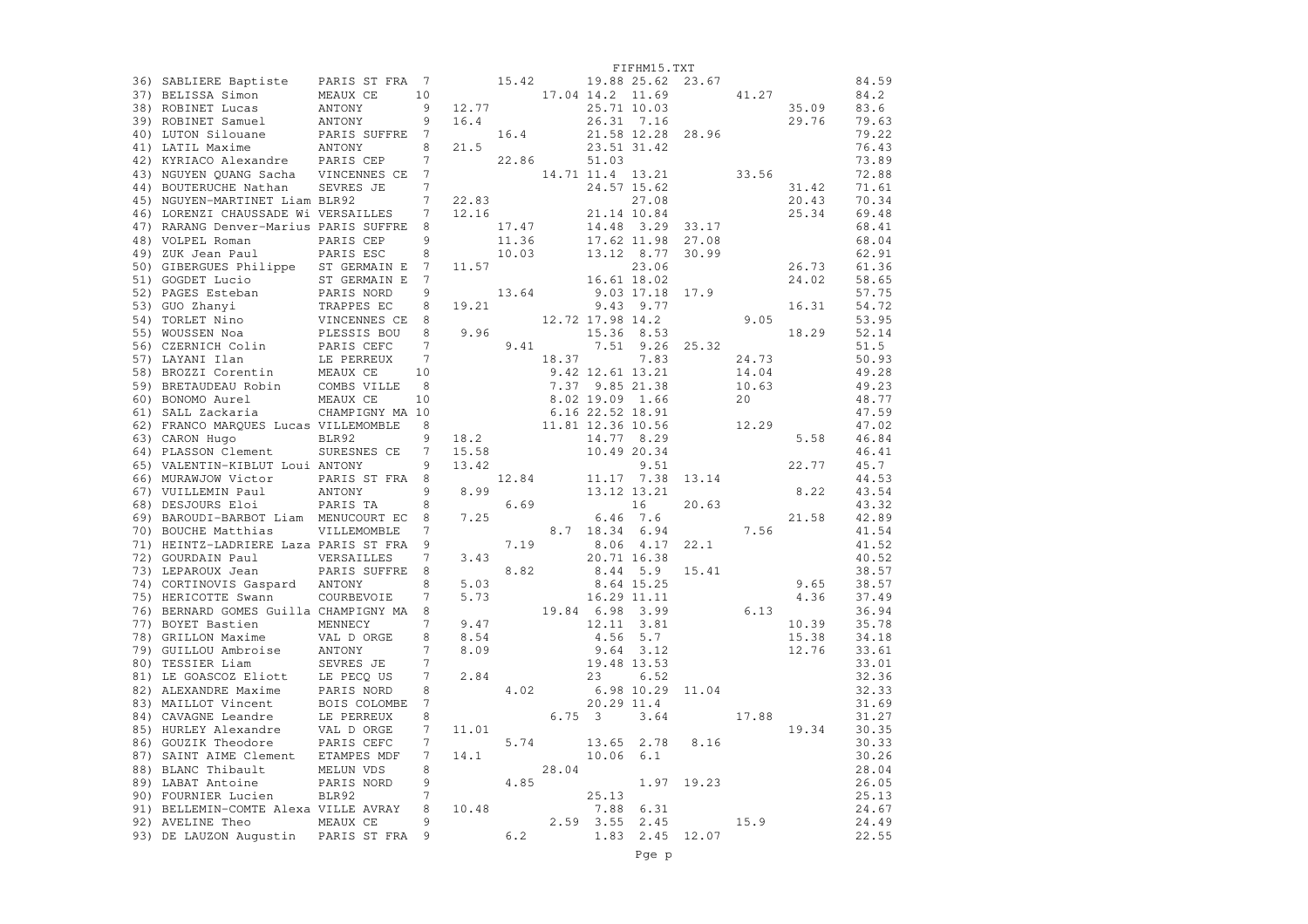|                                                                                                                                                                                                                                                      |                            |                 |                                              |                                                                                                          |                  |               | FIFHM15.TXT                                                                                                                                                                                          |                                                           |       |       |                |
|------------------------------------------------------------------------------------------------------------------------------------------------------------------------------------------------------------------------------------------------------|----------------------------|-----------------|----------------------------------------------|----------------------------------------------------------------------------------------------------------|------------------|---------------|------------------------------------------------------------------------------------------------------------------------------------------------------------------------------------------------------|-----------------------------------------------------------|-------|-------|----------------|
| 36) SABLIERE Baptiste                                                                                                                                                                                                                                | PARIS ST FRA 7             |                 |                                              | 15.42                                                                                                    |                  |               |                                                                                                                                                                                                      | 19.88 25.62 23.67                                         |       |       | 84.59          |
| 37) BELISSA Simon                                                                                                                                                                                                                                    | MEAUX CE                   | 10              | $15.42$<br>17.04 14.2 11.69<br>$25.71$ 10.03 |                                                                                                          |                  |               |                                                                                                                                                                                                      |                                                           | 41.27 |       | 84.2           |
| 38) ROBINET Lucas                                                                                                                                                                                                                                    | ANTONY                     | 9               | 12.77                                        |                                                                                                          |                  |               | 25.71 10.03                                                                                                                                                                                          |                                                           |       | 35.09 | 83.6           |
| 39) ROBINET Samuel                                                                                                                                                                                                                                   | ANTONY                     | 9               | 16.4                                         |                                                                                                          |                  |               | 26.31 7.16                                                                                                                                                                                           |                                                           |       | 29.76 | 79.63          |
| 40) LUTON Silouane                                                                                                                                                                                                                                   | PARIS SUFFRE               | $7\phantom{.0}$ |                                              | 16.4                                                                                                     |                  |               |                                                                                                                                                                                                      | 21.58 12.28 28.96                                         |       |       | 79.22          |
| 41) LATIL Maxime                                                                                                                                                                                                                                     | ANTONY                     | 8               | 21.5                                         |                                                                                                          |                  |               | 23.51 31.42                                                                                                                                                                                          |                                                           |       |       | 76.43          |
| 42) KYRIACO Alexandre PARIS CEP                                                                                                                                                                                                                      |                            | 7               |                                              | 22.86                                                                                                    |                  | 51.03         |                                                                                                                                                                                                      |                                                           |       |       | 73.89          |
| 43) NGUYEN QUANG Sacha VINCENNES CE                                                                                                                                                                                                                  |                            | 7               |                                              |                                                                                                          |                  |               |                                                                                                                                                                                                      | $14.71$ $11.4$ $13.21$ $33.56$<br>$24.57$ $15.62$ $33.56$ |       |       | 72.88          |
| 44) BOUTERUCHE Nathan                                                                                                                                                                                                                                | SEVRES JE                  | $7\overline{ }$ |                                              |                                                                                                          |                  |               | 24.57 15.62                                                                                                                                                                                          |                                                           |       | 31.42 | 71.61          |
| 45) NGUYEN-MARTINET Liam BLR92                                                                                                                                                                                                                       |                            | 7               |                                              |                                                                                                          |                  |               | 27.08                                                                                                                                                                                                |                                                           |       | 20.43 | 70.34          |
| 46) LORENZI CHAUSSADE Wi VERSAILLES                                                                                                                                                                                                                  |                            | 7               |                                              | 22.83<br>12.16                                                                                           |                  |               | 21.14 10.84                                                                                                                                                                                          |                                                           |       | 25.34 | 69.48          |
| 47) RARANG Denver-Marius PARIS SUFFRE                                                                                                                                                                                                                |                            | 8               |                                              | 17.47                                                                                                    |                  | 14.48         | 3.29                                                                                                                                                                                                 | 33.17                                                     |       |       | 68.41          |
| 48) VOLPEL Roman                                                                                                                                                                                                                                     | PARIS CEP                  | 9               |                                              | 11.36                                                                                                    |                  |               | 17.62 11.98                                                                                                                                                                                          | 27.08                                                     |       |       | 68.04          |
| 49) ZUK Jean Paul                                                                                                                                                                                                                                    | PARIS ESC                  | 8               |                                              | 10.03                                                                                                    |                  |               | 13.12 8.77                                                                                                                                                                                           | 30.99                                                     |       |       | 62.91          |
| 50) GIBERGUES Philippe ST GERMAIN E                                                                                                                                                                                                                  |                            | 7               |                                              | 11.57                                                                                                    |                  |               | 23.06                                                                                                                                                                                                |                                                           |       | 26.73 | 61.36          |
| 51) GOGDET Lucio                                                                                                                                                                                                                                     |                            | 7               |                                              |                                                                                                          |                  |               | 16.61 18.02                                                                                                                                                                                          |                                                           |       | 24.02 | 58.65          |
| 52) PAGES Esteban                                                                                                                                                                                                                                    | ST GERMAIN E<br>PARIS NORD | 9               |                                              | 13.64                                                                                                    |                  |               | 9.03 17.18 17.9                                                                                                                                                                                      |                                                           |       |       | 57.75          |
|                                                                                                                                                                                                                                                      |                            | 8               | 19.21                                        |                                                                                                          |                  |               | $9.43$ $9.77$                                                                                                                                                                                        |                                                           |       | 16.31 | 54.72          |
|                                                                                                                                                                                                                                                      |                            | 8               |                                              |                                                                                                          | 12.72 17.98 14.2 |               |                                                                                                                                                                                                      |                                                           | 9.05  |       | 53.95          |
| 53) GUO Zhanyi<br>TRAPPES EC<br>54) TORLET Nino<br>55) WOUSSEN Noa<br>56) CZERNICH Colin<br>56) CZERNICH Colin<br>57) LAYANI Ilan<br>58) BROZZI Corentin<br>59) BRETAUDEAU Robin<br>59) BRETAUDEAU Robin<br>59) BRETAUDEAU Robin<br>59) BRETAUDEAU R |                            | 8               |                                              | 9.96                                                                                                     |                  |               | 15.36 8.53                                                                                                                                                                                           |                                                           | 25.32 | 18.29 | 52.14          |
|                                                                                                                                                                                                                                                      |                            | $\overline{7}$  |                                              | 9.41                                                                                                     |                  |               | 7.51 9.26                                                                                                                                                                                            |                                                           |       |       | 51.5           |
|                                                                                                                                                                                                                                                      |                            | 7               |                                              |                                                                                                          |                  |               |                                                                                                                                                                                                      |                                                           | 24.73 |       | 50.93          |
|                                                                                                                                                                                                                                                      |                            | 10              |                                              |                                                                                                          |                  |               |                                                                                                                                                                                                      |                                                           | 14.04 |       | 49.28          |
|                                                                                                                                                                                                                                                      |                            | 8               |                                              |                                                                                                          |                  |               |                                                                                                                                                                                                      |                                                           | 10.63 |       | 49.23          |
| 60) BONOMO Aurel                                                                                                                                                                                                                                     | MEAUX CE                   | 10              |                                              |                                                                                                          |                  |               |                                                                                                                                                                                                      |                                                           | 20    |       | 48.77          |
| 61) SALL Zackaria                                                                                                                                                                                                                                    | CHAMPIGNY MA 10            |                 |                                              |                                                                                                          |                  |               |                                                                                                                                                                                                      |                                                           |       |       | 47.59          |
| 62) FRANCO MARQUES Lucas VILLEMOMBLE                                                                                                                                                                                                                 |                            | 8               |                                              |                                                                                                          |                  |               |                                                                                                                                                                                                      |                                                           | 12.29 |       | 47.02          |
| 63) CARON Hugo                                                                                                                                                                                                                                       | BLR92                      | 9               |                                              |                                                                                                          |                  |               |                                                                                                                                                                                                      |                                                           |       | 5.58  | 46.84          |
| 64) PLASSON Clement                                                                                                                                                                                                                                  | SURESNES CE                | 7               |                                              |                                                                                                          |                  |               | 9.<br>9.42<br>7.37 9.<br>8.02 19.09 1.<br>6.16 22.52 18.91<br>11.81 12.36 10.56<br>9.2<br>14.77 8.29<br>10.49 20.3<br>9.5<br>11.17 7.<br>13.12 13.<br>16.19<br>10.49 20.3<br>10.14 20.3<br>13.12 13. | 13.14                                                     |       |       | 46.41          |
| 65) VALENTIN-KIBLUT Loui ANTONY                                                                                                                                                                                                                      |                            | 9               |                                              |                                                                                                          |                  |               |                                                                                                                                                                                                      |                                                           |       | 22.77 | 45.7           |
| 66) MURAWJOW Victor                                                                                                                                                                                                                                  | PARIS ST FRA               | 8               |                                              |                                                                                                          |                  |               |                                                                                                                                                                                                      |                                                           |       |       | 44.53          |
| 67) VUILLEMIN Paul                                                                                                                                                                                                                                   | ANTONY                     | 9               |                                              |                                                                                                          |                  |               |                                                                                                                                                                                                      |                                                           |       | 8.22  | 43.54          |
| 68) DESJOURS Eloi                                                                                                                                                                                                                                    | PARIS TA                   | 8               |                                              | 6.69                                                                                                     |                  |               | 16                                                                                                                                                                                                   | 20.63                                                     |       |       | 43.32          |
| 69) BAROUDI-BARBOT Liam MENUCOURT EC                                                                                                                                                                                                                 |                            | 8               | 7.25                                         |                                                                                                          |                  | 6.46          | 7.6                                                                                                                                                                                                  |                                                           |       | 21.58 | 42.89          |
| 70) BOUCHE Matthias                                                                                                                                                                                                                                  | VILLEMOMBLE                | 7               |                                              |                                                                                                          |                  | 8.7 18.34     | 6.94                                                                                                                                                                                                 |                                                           |       | 7.56  | 41.54          |
| 71) HEINTZ-LADRIERE Laza PARIS ST FRA                                                                                                                                                                                                                |                            | 9               |                                              | 7.19                                                                                                     |                  |               | 8.06 4.17                                                                                                                                                                                            | 22.1                                                      |       |       | 41.52          |
| 72) GOURDAIN Paul                                                                                                                                                                                                                                    | VERSAILLES                 | 7               | 3.43                                         |                                                                                                          |                  |               | 20.71 16.38                                                                                                                                                                                          |                                                           |       |       | 40.52          |
| 73) LEPAROUX Jean                                                                                                                                                                                                                                    | PARIS SUFFRE               | 8               |                                              | 8.82                                                                                                     |                  |               | 8.44 5.9                                                                                                                                                                                             | 15.41                                                     |       |       | 38.57          |
| 74) CORTINOVIS Gaspard ANTONY                                                                                                                                                                                                                        |                            | 8               |                                              |                                                                                                          |                  |               | $5.03$<br>$5.73$<br>$19.84$<br>$6.98$<br>$3.99$<br>$19.84$<br>$6.98$<br>$3.99$<br>$10.11$<br>$3.81$                                                                                                  |                                                           |       | 9.65  | 38.57          |
| 75) HERICOTTE Swann                                                                                                                                                                                                                                  | COURBEVOIE                 | $\overline{7}$  |                                              |                                                                                                          |                  |               |                                                                                                                                                                                                      |                                                           |       | 4.36  | 37.49          |
| 76) BERNARD GOMES Guilla CHAMPIGNY MA 8                                                                                                                                                                                                              |                            |                 |                                              |                                                                                                          |                  |               |                                                                                                                                                                                                      |                                                           | 6.13  |       | 36.94          |
| 77) BOYET Bastien                                                                                                                                                                                                                                    | MENNECY                    | $\overline{7}$  | 9.47                                         |                                                                                                          |                  | 12.11         | 3.81                                                                                                                                                                                                 |                                                           |       | 10.39 | 35.78          |
| 78) GRILLON Maxime                                                                                                                                                                                                                                   | VAL D ORGE<br>ANTONY       | 8               | 8.54                                         |                                                                                                          |                  | 4.56          | 5.7                                                                                                                                                                                                  |                                                           |       | 15.38 | 34.18          |
| 79) GUILLOU Ambroise                                                                                                                                                                                                                                 |                            | 7               | 8.09                                         |                                                                                                          |                  | 9.64          | 3.12                                                                                                                                                                                                 |                                                           |       | 12.76 | 33.61          |
| 80) TESSIER Liam                                                                                                                                                                                                                                     | SEVRES JE                  | 7               |                                              |                                                                                                          |                  | 19.48 13.53   |                                                                                                                                                                                                      |                                                           |       |       | 33.01          |
| 81) LE GOASCOZ Eliott                                                                                                                                                                                                                                | LE PECQ US                 | 7               | 2.84                                         |                                                                                                          |                  | 23            | 6.52                                                                                                                                                                                                 |                                                           |       |       | 32.36          |
| 82) ALEXANDRE Maxime                                                                                                                                                                                                                                 | PARIS NORD                 | 8               |                                              | 4.02                                                                                                     |                  |               |                                                                                                                                                                                                      | 6.98 10.29 11.04                                          |       |       | 32.33          |
| 83) MAILLOT Vincent                                                                                                                                                                                                                                  | BOIS COLOMBE               | 7               |                                              |                                                                                                          |                  | 20.29 11.4    |                                                                                                                                                                                                      |                                                           |       |       | 31.69          |
| 84) CAVAGNE Leandre                                                                                                                                                                                                                                  | LE PERREUX                 | 8               |                                              |                                                                                                          | $6.75 \quad 3$   |               | 3.64                                                                                                                                                                                                 |                                                           | 17.88 |       | 31.27          |
| 85) HURLEY Alexandre                                                                                                                                                                                                                                 | VAL D ORGE                 | 7               | 11.01                                        |                                                                                                          |                  |               |                                                                                                                                                                                                      |                                                           |       | 19.34 | 30.35          |
| 86) GOUZIK Theodore                                                                                                                                                                                                                                  | PARIS CEFC                 | 7               |                                              | 5.74                                                                                                     |                  |               | 13.65 2.78                                                                                                                                                                                           | 8.16                                                      |       |       | 30.33          |
| 87) SAINT AIME Clement ETAMPES MDF                                                                                                                                                                                                                   |                            | 7               | 14.1                                         |                                                                                                          |                  | $10.06$ $6.1$ |                                                                                                                                                                                                      |                                                           |       |       | 30.26          |
| 88) BLANC Thibault                                                                                                                                                                                                                                   | MELUN VDS                  | 8               |                                              |                                                                                                          | 28.04            |               |                                                                                                                                                                                                      |                                                           |       |       | 28.04          |
| 89) LABAT Antoine                                                                                                                                                                                                                                    | PARIS NORD                 | 9               |                                              | 4.85                                                                                                     |                  |               | 1.97                                                                                                                                                                                                 | 19.23                                                     |       |       | 26.05          |
| 90) FOURNIER Lucien                                                                                                                                                                                                                                  | BLR92                      | $7\overline{ }$ |                                              |                                                                                                          |                  | 25.13         |                                                                                                                                                                                                      |                                                           |       |       | 25.13          |
| 91) BELLEMIN-COMTE Alexa VILLE AVRAY                                                                                                                                                                                                                 |                            | 8<br>9          |                                              | $\begin{array}{cccc} 25.13 \\ 10.48 \end{array}$ $\begin{array}{cccc} 25.13 \\ 7.88 \\ 2.59 \end{array}$ |                  | 7.88          | 6.31<br>2.45                                                                                                                                                                                         |                                                           |       |       | 24.67          |
| 92) AVELINE Theo                                                                                                                                                                                                                                     | MEAUX CE                   | 9               | 6.2                                          |                                                                                                          |                  | 1.83          | 2.45                                                                                                                                                                                                 | 12.07                                                     | 15.9  |       | 24.49<br>22.55 |
| 93) DE LAUZON Augustin PARIS ST FRA                                                                                                                                                                                                                  |                            |                 |                                              |                                                                                                          |                  |               |                                                                                                                                                                                                      |                                                           |       |       |                |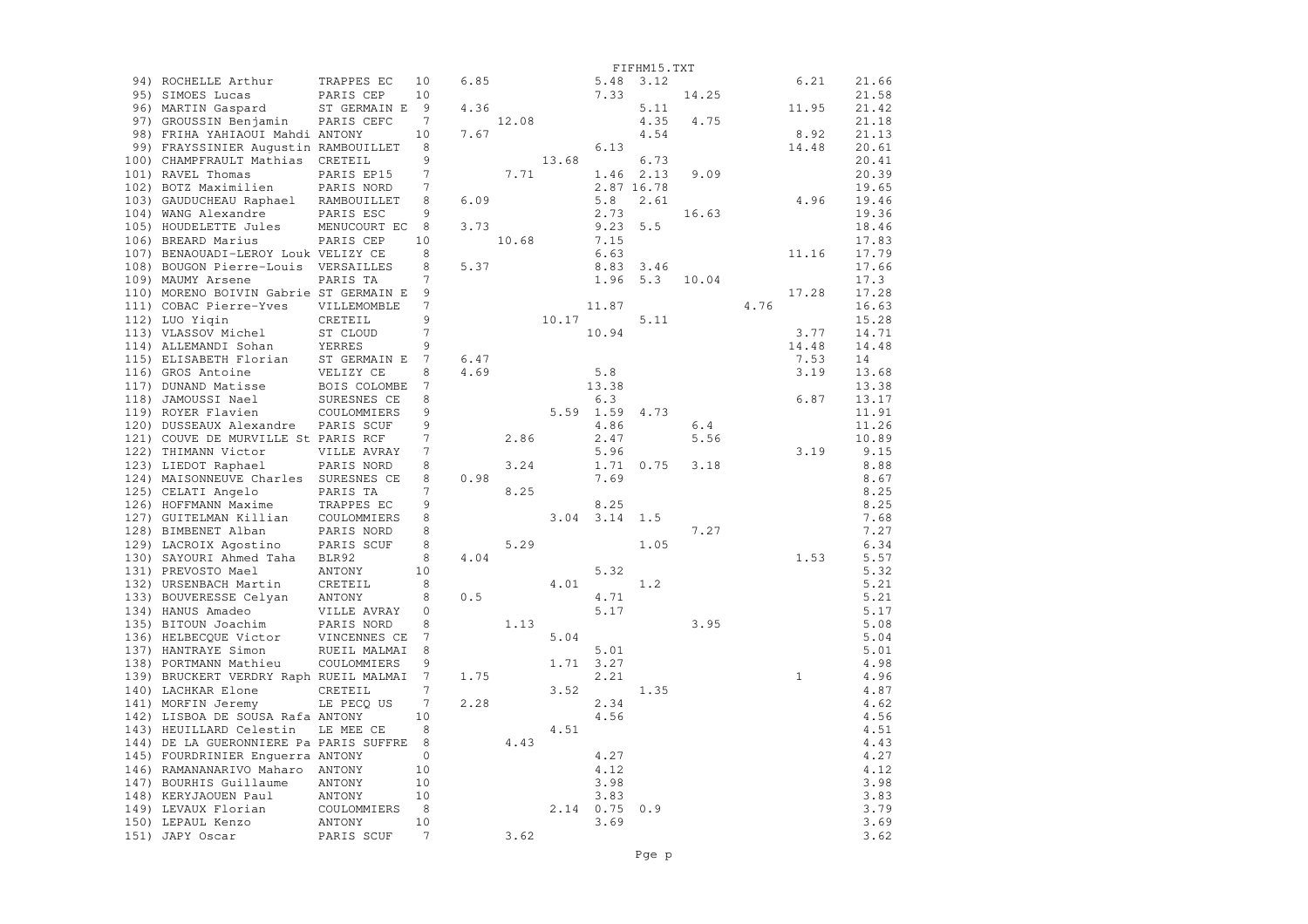|                                          |                      |                |      |       |                       |                     | FIFHM15.TXT |       |      |                |              |
|------------------------------------------|----------------------|----------------|------|-------|-----------------------|---------------------|-------------|-------|------|----------------|--------------|
| 94) ROCHELLE Arthur                      | TRAPPES EC           | 10             | 6.85 |       |                       | 5.48                | 3.12        |       |      | 6.21           | 21.66        |
| 95) SIMOES Lucas                         | PARIS CEP            | 10             |      |       |                       | 7.33                |             | 14.25 |      |                | 21.58        |
| 96) MARTIN Gaspard                       | ST GERMAIN E         | 9              | 4.36 |       |                       |                     | 5.11        |       |      | 11.95          | 21.42        |
| 97) GROUSSIN Benjamin                    | PARIS CEFC           | 7              |      | 12.08 |                       |                     | 4.35        | 4.75  |      |                | 21.18        |
| 98) FRIHA YAHIAOUI Mahdi ANTONY          |                      | 10             | 7.67 |       |                       |                     | 4.54        |       |      | 8.92           | 21.13        |
| 99) FRAYSSINIER Augustin RAMBOUILLET     |                      | 8              |      |       |                       | 6.13                |             |       |      | 14.48          | 20.61        |
| 100) CHAMPFRAULT Mathias CRETEIL         |                      | 9              |      |       | 13.68                 |                     | 6.73        |       |      |                | 20.41        |
| 101) RAVEL Thomas                        | PARIS EP15           | 7              |      | 7.71  |                       |                     | 1.46 2.13   | 9.09  |      |                | 20.39        |
| 102) BOTZ Maximilien                     | PARIS NORD           | 7              |      |       |                       |                     | 2.87 16.78  |       |      |                | 19.65        |
| 103) GAUDUCHEAU Raphael RAMBOUILLET      |                      | 8              | 6.09 |       |                       | 5.8                 | 2.61        |       |      | 4.96           | 19.46        |
| 104) WANG Alexandre                      | PARIS ESC            | 9              |      |       |                       | 2.73                |             | 16.63 |      |                | 19.36        |
| 105) HOUDELETTE Jules                    | MENUCOURT EC         | 8              | 3.73 |       |                       | 9.23                | 5.5         |       |      |                | 18.46        |
| 106) BREARD Marius                       | PARIS CEP            | 10             |      | 10.68 |                       | 7.15                |             |       |      |                | 17.83        |
| 107) BENAOUADI-LEROY Louk VELIZY CE      |                      | 8              |      |       |                       | 6.63                |             |       |      | 11.16          | 17.79        |
| 108) BOUGON Pierre-Louis VERSAILLES      |                      | 8              | 5.37 |       |                       | 8.83                | 3.46        |       |      |                | 17.66        |
| 109) MAUMY Arsene                        | PARIS TA             | 7              |      |       |                       | 1.96                | 5.3         | 10.04 |      |                | 17.3         |
| 110) MORENO BOIVIN Gabrie ST GERMAIN E   |                      | 9              |      |       |                       |                     |             |       |      | 17.28          | 17.28        |
| 111) COBAC Pierre-Yves                   | VILLEMOMBLE          | $\overline{7}$ |      |       |                       | 11.87               |             |       | 4.76 |                | 16.63        |
| 112) LUO Yigin                           | CRETEIL              | 9              |      |       | $10.17$ <sup>11</sup> |                     | 5.11        |       |      |                | 15.28        |
| 113) VLASSOV Michel                      | ST CLOUD             | $\overline{7}$ |      |       |                       | 10.94               |             |       |      | 3.77           | 14.71        |
| 114) ALLEMANDI Sohan                     | YERRES               | 9              |      |       |                       |                     |             |       |      | 14.48          | 14.48        |
| 115) ELISABETH Florian                   | ST GERMAIN E         | 7              | 6.47 |       |                       |                     |             |       |      | 7.53           | 14           |
| 116) GROS Antoine                        | VELIZY CE            | 8              | 4.69 |       |                       | 5.8                 |             |       |      | 3.19           | 13.68        |
| 117) DUNAND Matisse                      | BOIS COLOMBE         | 7              |      |       |                       | 13.38               |             |       |      |                | 13.38        |
| 118) JAMOUSSI Nael                       | SURESNES CE          | 8              |      |       |                       | 6.3                 |             |       |      | 6.87           | 13.17        |
| 119) ROYER Flavien                       | COULOMMIERS          | 9              |      |       |                       | 5.59 1.59           | 4.73        |       |      |                | 11.91        |
| 120) DUSSEAUX Alexandre                  | PARIS SCUF           | 9              |      |       |                       | 4.86                |             | 6.4   |      |                | 11.26        |
| 121) COUVE DE MURVILLE St PARIS RCF      |                      | 7              |      | 2.86  |                       | 2.47                |             | 5.56  |      |                | 10.89        |
| 122) THIMANN Victor                      | VILLE AVRAY          | 7              |      |       |                       | 5.96                |             |       |      | 3.19           | 9.15         |
| 123) LIEDOT Raphael                      | PARIS NORD           | 8              |      | 3.24  |                       | 1.71                | 0.75        | 3.18  |      |                | 8.88         |
| 124) MAISONNEUVE Charles SURESNES CE     |                      | 8              | 0.98 |       |                       | 7.69                |             |       |      |                | 8.67         |
| 125) CELATI Angelo                       | PARIS TA             | 7              |      | 8.25  |                       |                     |             |       |      |                | 8.25         |
| 126) HOFFMANN Maxime                     | TRAPPES EC           | 9              |      |       |                       | 8.25                |             |       |      |                | 8.25         |
| 127) GUITELMAN Killian COULOMMIERS       |                      | 8              |      |       |                       | $3.04$ $3.14$       | 1.5         |       |      |                | 7.68         |
| 128) BIMBENET Alban                      | PARIS NORD           | 8              |      |       |                       |                     |             | 7.27  |      |                | 7.27         |
| 129) LACROIX Agostino PARIS SCUF         |                      | 8              |      |       | 5.29                  |                     | 1.05        |       |      |                | 6.34         |
| 130) SAYOURI Ahmed Taha BLR92            |                      | 8              | 4.04 |       |                       |                     |             |       |      | 1.53           | 5.57         |
| 131) PREVOSTO Mael                       | ANTONY               | 10             |      |       |                       | 5.32                |             |       |      |                | 5.32         |
| 132) URSENBACH Martin                    | CRETEIL              | 8              |      |       | 4.01                  |                     | 1.2         |       |      |                | 5.21         |
| 133) BOUVERESSE Celyan                   | ANTONY               | 8              | 0.5  |       |                       | 4.71                |             |       |      |                | 5.21         |
| 134) HANUS Amadeo                        | VILLE AVRAY          | 0              |      |       |                       | 5.17                |             |       |      |                | 5.17         |
| 135) BITOUN Joachim                      | PARIS NORD           | 8              |      | 1.13  |                       |                     |             | 3.95  |      |                | 5.08         |
| 136) HELBECQUE Victor                    | VINCENNES CE         | 7              |      |       | 5.04                  |                     |             |       |      |                | 5.04         |
| 137) HANTRAYE Simon                      | RUEIL MALMAI         | 8              |      |       |                       | 5.01                |             |       |      |                | 5.01         |
| 138) PORTMANN Mathieu                    | COULOMMIERS          | 9              |      |       | 1.71                  | 3.27                |             |       |      |                | 4.98         |
| 139) BRUCKERT VERDRY Raph RUEIL MALMAI   |                      | 7              | 1.75 |       |                       | 2.21                |             |       |      | $\overline{1}$ | 4.96         |
| 140) LACHKAR Elone                       | CRETEIL              | 7              |      |       | 3.52                  |                     | 1.35        |       |      |                | 4.87         |
| 141) MORFIN Jeremy                       | LE PECO US           | 7              | 2.28 |       |                       | 2.34                |             |       |      |                | 4.62         |
| 142) LISBOA DE SOUSA Rafa ANTONY         |                      | 10             |      |       |                       | 4.56                |             |       |      |                | 4.56         |
| 143) HEUILLARD Celestin                  | LE MEE CE            | 8              |      |       | 4.51                  |                     |             |       |      |                | 4.51         |
| 144) DE LA GUERONNIERE PA PARIS SUFFRE 8 |                      |                |      | 4.43  |                       |                     |             |       |      |                | 4.43         |
| 145) FOURDRINIER Enguerra ANTONY         |                      | $\mathbf 0$    |      |       |                       | 4.27                |             |       |      |                | 4.27         |
| 146) RAMANANARIVO Maharo ANTONY          |                      | 10             |      |       |                       | 4.12                |             |       |      |                | 4.12         |
| 147) BOURHIS Guillaume                   | ANTONY               | 10             |      |       |                       | 3.98                |             |       |      |                | 3.98         |
| 148) KERYJAOUEN Paul                     | ANTONY               | 10             |      |       |                       | 3.83<br>$2.14$ 0.75 |             |       |      |                | 3.83         |
| 149) LEVAUX Florian                      | COULOMMIERS          | 8<br>10        |      |       |                       | 3.69                | 0.9         |       |      |                | 3.79<br>3.69 |
| 150) LEPAUL Kenzo<br>151) JAPY Oscar     | ANTONY<br>PARIS SCUF | 7              |      | 3.62  |                       |                     |             |       |      |                | 3.62         |
|                                          |                      |                |      |       |                       |                     |             |       |      |                |              |